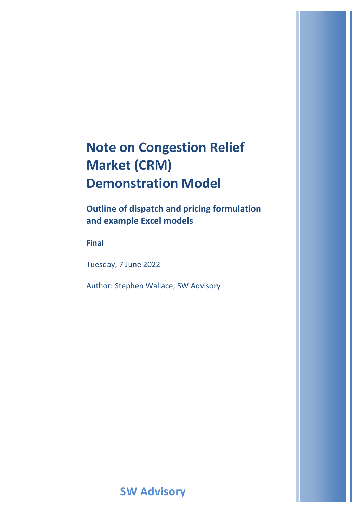# **Note on Congestion Relief Market (CRM) Demonstration Model**

**Outline of dispatch and pricing formulation and example Excel models**

**Final**

Tuesday, 7 June 2022

Author: Stephen Wallace, SW Advisory

## **SW Advisory**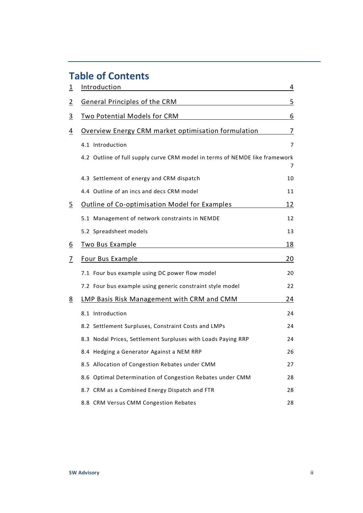## **Table of Contents**

| <u>1</u>        | Introduction                                                                | 4  |
|-----------------|-----------------------------------------------------------------------------|----|
| $\overline{2}$  | <b>General Principles of the CRM</b>                                        | 5  |
| <u>3</u>        | <b>Two Potential Models for CRM</b>                                         | 6  |
| $\overline{4}$  | Overview Energy CRM market optimisation formulation                         | 7  |
|                 | 4.1 Introduction                                                            | 7  |
|                 | 4.2 Outline of full supply curve CRM model in terms of NEMDE like framework | 7  |
|                 | 4.3 Settlement of energy and CRM dispatch                                   | 10 |
|                 | 4.4 Outline of an incs and decs CRM model                                   | 11 |
| <u>5</u>        | <b>Outline of Co-optimisation Model for Examples</b>                        | 12 |
|                 | 5.1 Management of network constraints in NEMDE                              | 12 |
|                 | 5.2 Spreadsheet models                                                      | 13 |
| <u>6</u>        | <b>Two Bus Example</b>                                                      | 18 |
| $\overline{1}$  | Four Bus Example                                                            | 20 |
|                 | 7.1 Four bus example using DC power flow model                              | 20 |
|                 | 7.2 Four bus example using generic constraint style model                   | 22 |
| $\underline{8}$ | LMP Basis Risk Management with CRM and CMM                                  | 24 |
|                 | 8.1 Introduction                                                            | 24 |
|                 | 8.2 Settlement Surpluses, Constraint Costs and LMPs                         | 24 |
|                 | 8.3 Nodal Prices, Settlement Surpluses with Loads Paying RRP                | 24 |
|                 | 8.4 Hedging a Generator Against a NEM RRP                                   | 26 |
|                 | 8.5 Allocation of Congestion Rebates under CMM                              | 27 |
|                 | 8.6 Optimal Determination of Congestion Rebates under CMM                   | 28 |
|                 | 8.7 CRM as a Combined Energy Dispatch and FTR                               | 28 |
|                 | 8.8 CRM Versus CMM Congestion Rebates                                       | 28 |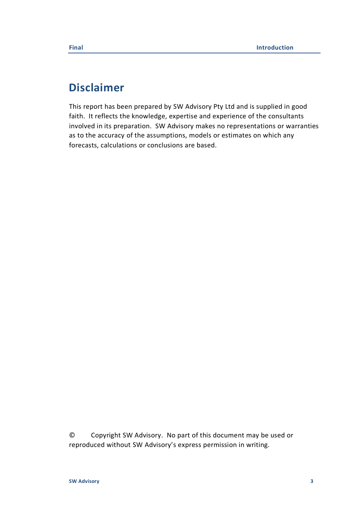## **Disclaimer**

This report has been prepared by SW Advisory Pty Ltd and is supplied in good faith. It reflects the knowledge, expertise and experience of the consultants involved in its preparation. SW Advisory makes no representations or warranties as to the accuracy of the assumptions, models or estimates on which any forecasts, calculations or conclusions are based.

© Copyright SW Advisory. No part of this document may be used or reproduced without SW Advisory's express permission in writing.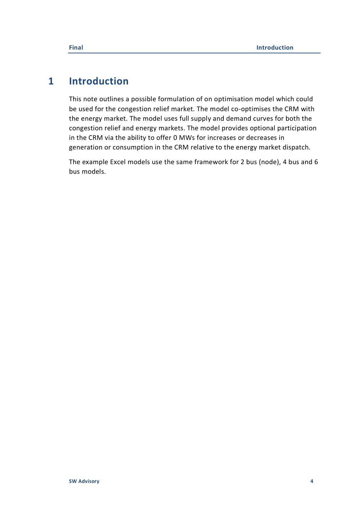## <span id="page-3-0"></span>**1 Introduction**

This note outlines a possible formulation of on optimisation model which could be used for the congestion relief market. The model co-optimises the CRM with the energy market. The model uses full supply and demand curves for both the congestion relief and energy markets. The model provides optional participation in the CRM via the ability to offer 0 MWs for increases or decreases in generation or consumption in the CRM relative to the energy market dispatch.

The example Excel models use the same framework for 2 bus (node), 4 bus and 6 bus models.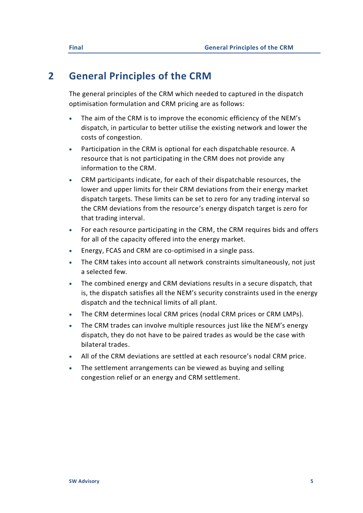## <span id="page-4-0"></span>**2 General Principles of the CRM**

The general principles of the CRM which needed to captured in the dispatch optimisation formulation and CRM pricing are as follows:

- The aim of the CRM is to improve the economic efficiency of the NEM's dispatch, in particular to better utilise the existing network and lower the costs of congestion.
- Participation in the CRM is optional for each dispatchable resource. A resource that is not participating in the CRM does not provide any information to the CRM.
- CRM participants indicate, for each of their dispatchable resources, the lower and upper limits for their CRM deviations from their energy market dispatch targets. These limits can be set to zero for any trading interval so the CRM deviations from the resource's energy dispatch target is zero for that trading interval.
- For each resource participating in the CRM, the CRM requires bids and offers for all of the capacity offered into the energy market.
- Energy, FCAS and CRM are co-optimised in a single pass.
- The CRM takes into account all network constraints simultaneously, not just a selected few.
- The combined energy and CRM deviations results in a secure dispatch, that is, the dispatch satisfies all the NEM's security constraints used in the energy dispatch and the technical limits of all plant.
- The CRM determines local CRM prices (nodal CRM prices or CRM LMPs).
- The CRM trades can involve multiple resources just like the NEM's energy dispatch, they do not have to be paired trades as would be the case with bilateral trades.
- All of the CRM deviations are settled at each resource's nodal CRM price.
- The settlement arrangements can be viewed as buying and selling congestion relief or an energy and CRM settlement.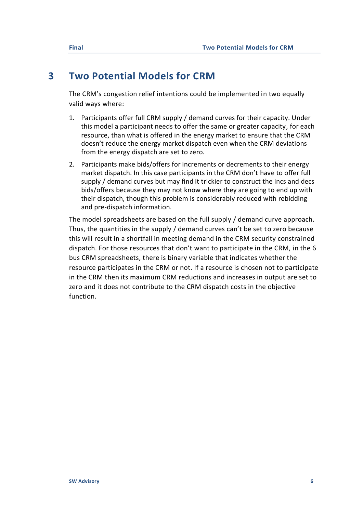## <span id="page-5-0"></span>**3 Two Potential Models for CRM**

The CRM's congestion relief intentions could be implemented in two equally valid ways where:

- 1. Participants offer full CRM supply / demand curves for their capacity. Under this model a participant needs to offer the same or greater capacity, for each resource, than what is offered in the energy market to ensure that the CRM doesn't reduce the energy market dispatch even when the CRM deviations from the energy dispatch are set to zero.
- 2. Participants make bids/offers for increments or decrements to their energy market dispatch. In this case participants in the CRM don't have to offer full supply / demand curves but may find it trickier to construct the incs and decs bids/offers because they may not know where they are going to end up with their dispatch, though this problem is considerably reduced with rebidding and pre-dispatch information.

The model spreadsheets are based on the full supply / demand curve approach. Thus, the quantities in the supply / demand curves can't be set to zero because this will result in a shortfall in meeting demand in the CRM security constrained dispatch. For those resources that don't want to participate in the CRM, in the 6 bus CRM spreadsheets, there is binary variable that indicates whether the resource participates in the CRM or not. If a resource is chosen not to participate in the CRM then its maximum CRM reductions and increases in output are set to zero and it does not contribute to the CRM dispatch costs in the objective function.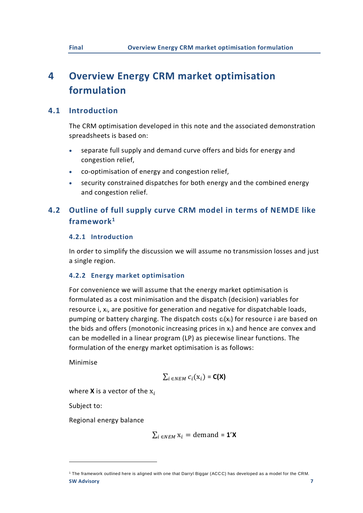## <span id="page-6-0"></span>**4 Overview Energy CRM market optimisation formulation**

## **4.1 Introduction**

<span id="page-6-1"></span>The CRM optimisation developed in this note and the associated demonstration spreadsheets is based on:

- separate full supply and demand curve offers and bids for energy and congestion relief,
- co-optimisation of energy and congestion relief,
- <span id="page-6-2"></span>security constrained dispatches for both energy and the combined energy and congestion relief.

## **4.2 Outline of full supply curve CRM model in terms of NEMDE like framework<sup>1</sup>**

## **4.2.1 Introduction**

In order to simplify the discussion we will assume no transmission losses and just a single region.

## **4.2.2 Energy market optimisation**

For convenience we will assume that the energy market optimisation is formulated as a cost minimisation and the dispatch (decision) variables for resource i, x<sub>i</sub>, are positive for generation and negative for dispatchable loads, pumping or battery charging. The dispatch costs  $c_i(x_i)$  for resource i are based on the bids and offers (monotonic increasing prices in  $x_i$ ) and hence are convex and can be modelled in a linear program (LP) as piecewise linear functions. The formulation of the energy market optimisation is as follows:

Minimise

$$
\sum_{i \in NEM} c_i(\mathbf{x}_i) = \mathbf{C}(\mathbf{X})
$$

where  $X$  is a vector of the  $X_i$ 

Subject to:

Regional energy balance

$$
\sum_{i \in NEM} x_i = \text{demand} = \mathbf{1'X}
$$

**SW Advisory 7** <sup>1</sup> The framework outlined here is aligned with one that Darryl Biggar (ACCC) has developed as a model for the CRM.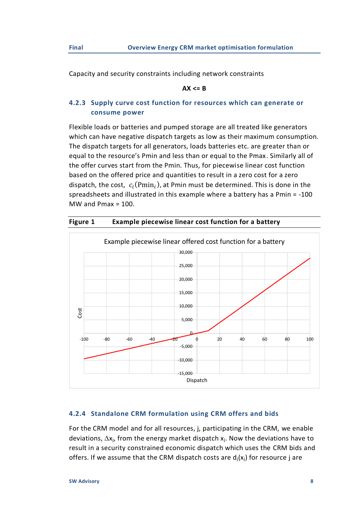Capacity and security constraints including network constraints

#### **AX <= B**

## **4.2.3 Supply curve cost function for resources which can generate or consume power**

Flexible loads or batteries and pumped storage are all treated like generators which can have negative dispatch targets as low as their maximum consumption. The dispatch targets for all generators, loads batteries etc. are greater than or equal to the resource's Pmin and less than or equal to the Pmax. Similarly all of the offer curves start from the Pmin. Thus, for piecewise linear cost function based on the offered price and quantities to result in a zero cost for a zero dispatch, the cost,  $c_i(Pmin_i)$ , at Pmin must be determined. This is done in the spreadsheets and illustrated in this example where a battery has a Pmin = -100 MW and  $Pmax = 100$ .



**Figure 1 Example piecewise linear cost function for a battery**

## **4.2.4 Standalone CRM formulation using CRM offers and bids**

For the CRM model and for all resources, j, participating in the CRM, we enable deviations,  $\Delta x_i$ , from the energy market dispatch  $x_i$ . Now the deviations have to result in a security constrained economic dispatch which uses the CRM bids and offers. If we assume that the CRM dispatch costs are  $d_i(x_i)$  for resource j are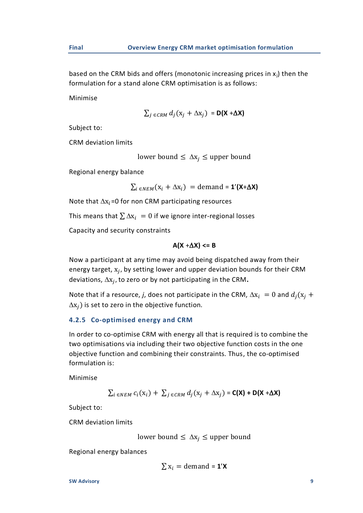based on the CRM bids and offers (monotonic increasing prices in  $x_i$ ) then the formulation for a stand alone CRM optimisation is as follows:

Minimise

$$
\sum_{j \in \text{CRM}} d_j(\mathbf{x}_j + \Delta \mathbf{x}_j) = \mathbf{D}(\mathbf{X} + \Delta \mathbf{X})
$$

Subject to:

CRM deviation limits

lower bound  $\leq \Delta x_i \leq$  upper bound

Regional energy balance

 $\sum_{i \in NEM} (x_i + \Delta x_i) =$ demand = **1'(X+** $\Delta$ **X)** 

Note that  $\Delta x_i$ =0 for non CRM participating resources

This means that  $\sum \Delta x_i = 0$  if we ignore inter-regional losses

Capacity and security constraints

$$
A(X + \Delta X) \leq B
$$

Now a participant at any time may avoid being dispatched away from their energy target,  $x_j$ , by setting lower and upper deviation bounds for their CRM deviations,  $\Delta x_j$ , to zero or by not participating in the CRM.

Note that if a resource, *j*, does not participate in the CRM,  $\Delta x_i = 0$  and  $d_i(x_i +$  $\Delta x_i$ ) is set to zero in the objective function.

### **4.2.5 Co-optimised energy and CRM**

In order to co-optimise CRM with energy all that is required is to combine the two optimisations via including their two objective function costs in the one objective function and combining their constraints. Thus, the co-optimised formulation is:

Minimise

$$
\sum_{i \in NEM} c_i(\mathbf{x}_i) + \sum_{j \in CRM} d_j(\mathbf{x}_j + \Delta \mathbf{x}_j) = \mathbf{C}(\mathbf{X}) + \mathbf{D}(\mathbf{X} + \Delta \mathbf{X})
$$

Subject to:

CRM deviation limits

$$
lower bound \leq \Delta x_j \leq upper bound
$$

Regional energy balances

$$
\sum x_i = \text{demand} = \mathbf{1}'\mathbf{X}
$$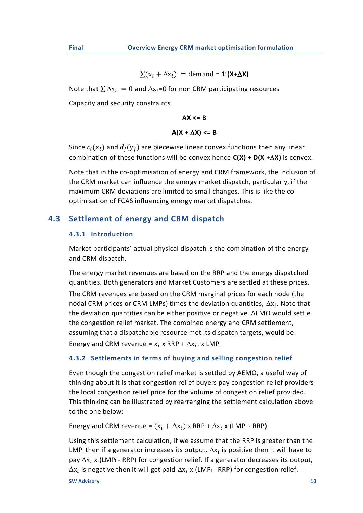$$
\sum(x_i + \Delta x_i) = \text{demand} = \mathbf{1}'(\mathbf{X} + \Delta \mathbf{X})
$$

Note that  $\sum \Delta x_i = 0$  and  $\Delta x_i = 0$  for non CRM participating resources

Capacity and security constraints

**AX <= B**

$$
A(X + \Delta X) \leq B
$$

Since  $c_i(x_i)$  and  $d_i(y_i)$  are piecewise linear convex functions then any linear combination of these functions will be convex hence **C(X) + D(X** +**X)** is convex.

Note that in the co-optimisation of energy and CRM framework, the inclusion of the CRM market can influence the energy market dispatch, particularly, if the maximum CRM deviations are limited to small changes. This is like the cooptimisation of FCAS influencing energy market dispatches.

## **4.3 Settlement of energy and CRM dispatch**

#### <span id="page-9-0"></span>**4.3.1 Introduction**

Market participants' actual physical dispatch is the combination of the energy and CRM dispatch.

The energy market revenues are based on the RRP and the energy dispatched quantities. Both generators and Market Customers are settled at these prices. The CRM revenues are based on the CRM marginal prices for each node (the nodal CRM prices or CRM LMPs) times the deviation quantities,  $\Delta x_i$ . Note that the deviation quantities can be either positive or negative. AEMO would settle the congestion relief market. The combined energy and CRM settlement, assuming that a dispatchable resource met its dispatch targets, would be: Energy and CRM revenue =  $x_i$  x RRP +  $\Delta x_i$ . x LMP

## **4.3.2 Settlements in terms of buying and selling congestion relief**

Even though the congestion relief market is settled by AEMO, a useful way of thinking about it is that congestion relief buyers pay congestion relief providers the local congestion relief price for the volume of congestion relief provided. This thinking can be illustrated by rearranging the settlement calculation above to the one below:

Energy and CRM revenue =  $(x_i + \Delta x_i)$  x RRP +  $\Delta x_i$  x (LMP<sub>i</sub> - RRP)

Using this settlement calculation, if we assume that the RRP is greater than the LMP<sub>i</sub> then if a generator increases its output,  $\Delta x_i$  is positive then it will have to pay  $\Delta x_i$  x (LMP<sub>i</sub> - RRP) for congestion relief. If a generator decreases its output,  $\Delta x_i$  is negative then it will get paid  $\Delta x_i$  x (LMP<sub>i</sub> - RRP) for congestion relief.

**SW Advisory 10**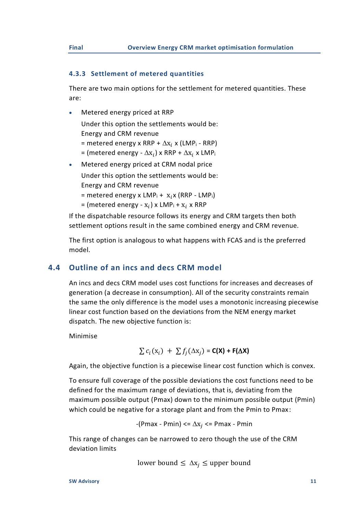## **4.3.3 Settlement of metered quantities**

There are two main options for the settlement for metered quantities. These are:

• Metered energy priced at RRP

Under this option the settlements would be: Energy and CRM revenue = metered energy x RRP +  $\Delta$ x<sub>i</sub> x (LMP<sub>i</sub> - RRP)

- = (metered energy  $\Delta \mathbf{x}_i$ ) x RRP +  $\Delta \mathbf{x}_i$  x LMP $_i$
- Metered energy priced at CRM nodal price Under this option the settlements would be:
	- Energy and CRM revenue
	- = metered energy x  $LMP_i + x_i$  (RRP LMP<sub>i</sub>)
	- = (metered energy  $\mathbf{x}_i$ ) x LMP<sub>i</sub> +  $\mathbf{x}_i$  x RRP

If the dispatchable resource follows its energy and CRM targets then both settlement options result in the same combined energy and CRM revenue.

The first option is analogous to what happens with FCAS and is the preferred model.

## **4.4 Outline of an incs and decs CRM model**

<span id="page-10-0"></span>An incs and decs CRM model uses cost functions for increases and decreases of generation (a decrease in consumption). All of the security constraints remain the same the only difference is the model uses a monotonic increasing piecewise linear cost function based on the deviations from the NEM energy market dispatch. The new objective function is:

Minimise

$$
\sum c_i(\mathbf{x}_i) + \sum f_j(\Delta \mathbf{x}_j) = \mathbf{C}(\mathbf{X}) + \mathbf{F}(\Delta \mathbf{X})
$$

Again, the objective function is a piecewise linear cost function which is convex.

To ensure full coverage of the possible deviations the cost functions need to be defined for the maximum range of deviations, that is, deviating from the maximum possible output (Pmax) down to the minimum possible output (Pmin) which could be negative for a storage plant and from the Pmin to Pmax:

 $-(Pmax - Pmin) \leq \Delta x_i \leq Pmax - Pmin$ 

This range of changes can be narrowed to zero though the use of the CRM deviation limits

lower bound  $\leq \Delta x_i \leq$  upper bound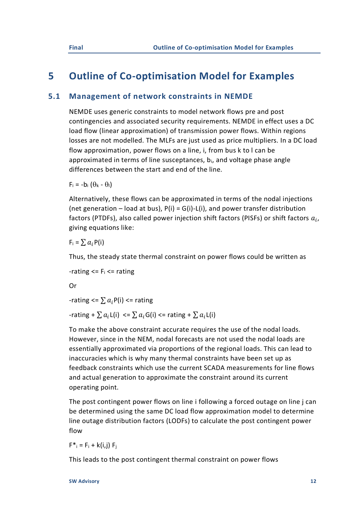## <span id="page-11-0"></span>**5 Outline of Co-optimisation Model for Examples**

## **5.1 Management of network constraints in NEMDE**

<span id="page-11-1"></span>NEMDE uses generic constraints to model network flows pre and post contingencies and associated security requirements. NEMDE in effect uses a DC load flow (linear approximation) of transmission power flows. Within regions losses are not modelled. The MLFs are just used as price multipliers. In a DC load flow approximation, power flows on a line, i, from bus k to l can be approximated in terms of line susceptances,  $b_i$ , and voltage phase angle differences between the start and end of the line.

 $F_i = -b_i (\theta_k - \theta_l)$ 

Alternatively, these flows can be approximated in terms of the nodal injections (net generation – load at bus),  $P(i) = G(i) - L(i)$ , and power transfer distribution factors (PTDFs), also called power injection shift factors (PISFs) or shift factors  $a_i$ , giving equations like:

 $F_i = \sum a_i P(i)$ 

Thus, the steady state thermal constraint on power flows could be written as

-rating  $\leq$  F<sub>i</sub> $\leq$  rating

Or

-rating  $\leq$   $\sum a_i P(i)$   $\leq$  rating

-rating +  $\sum a_i L(i) \leq \sum a_i G(i) \leq$  rating +  $\sum a_i L(i)$ 

To make the above constraint accurate requires the use of the nodal loads. However, since in the NEM, nodal forecasts are not used the nodal loads are essentially approximated via proportions of the regional loads. This can lead to inaccuracies which is why many thermal constraints have been set up as feedback constraints which use the current SCADA measurements for line flows and actual generation to approximate the constraint around its current operating point.

The post contingent power flows on line i following a forced outage on line j can be determined using the same DC load flow approximation model to determine line outage distribution factors (LODFs) to calculate the post contingent power flow

 $F^*$ <sub>i</sub> = F<sub>i</sub> + k(i,j) F<sub>i</sub>

This leads to the post contingent thermal constraint on power flows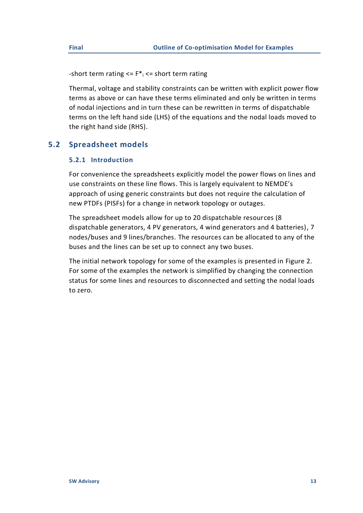-short term rating  $\leq$   $F^*$   $\leq$  short term rating

Thermal, voltage and stability constraints can be written with explicit power flow terms as above or can have these terms eliminated and only be written in terms of nodal injections and in turn these can be rewritten in terms of dispatchable terms on the left hand side (LHS) of the equations and the nodal loads moved to the right hand side (RHS).

## **5.2 Spreadsheet models**

## <span id="page-12-0"></span>**5.2.1 Introduction**

For convenience the spreadsheets explicitly model the power flows on lines and use constraints on these line flows. This is largely equivalent to NEMDE's approach of using generic constraints but does not require the calculation of new PTDFs (PISFs) for a change in network topology or outages.

The spreadsheet models allow for up to 20 dispatchable resources (8 dispatchable generators, 4 PV generators, 4 wind generators and 4 batteries), 7 nodes/buses and 9 lines/branches. The resources can be allocated to any of the buses and the lines can be set up to connect any two buses.

The initial network topology for some of the examples is presented in [Figure 2.](#page-13-0) For some of the examples the network is simplified by changing the connection status for some lines and resources to disconnected and setting the nodal loads to zero.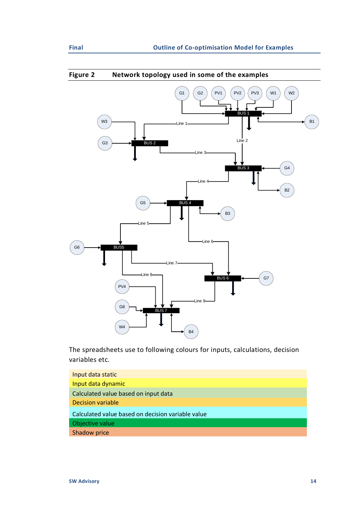

<span id="page-13-0"></span>**Figure 2 Network topology used in some of the examples**

The spreadsheets use to following colours for inputs, calculations, decision variables etc.

| Input data static                                 |
|---------------------------------------------------|
| Input data dynamic                                |
| Calculated value based on input data              |
| <b>Decision variable</b>                          |
| Calculated value based on decision variable value |
| Objective value                                   |
| <b>Shadow price</b>                               |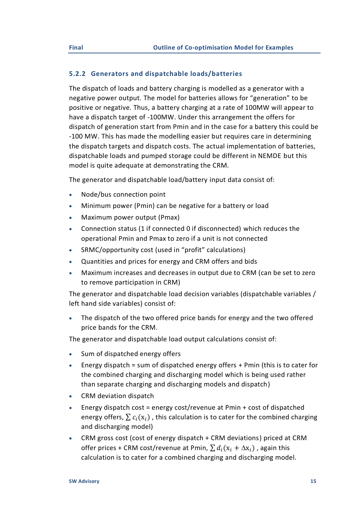## **5.2.2 Generators and dispatchable loads/batteries**

The dispatch of loads and battery charging is modelled as a generator with a negative power output. The model for batteries allows for "generation" to be positive or negative. Thus, a battery charging at a rate of 100MW will appear to have a dispatch target of -100MW. Under this arrangement the offers for dispatch of generation start from Pmin and in the case for a battery this could be -100 MW. This has made the modelling easier but requires care in determining the dispatch targets and dispatch costs. The actual implementation of batteries, dispatchable loads and pumped storage could be different in NEMDE but this model is quite adequate at demonstrating the CRM.

The generator and dispatchable load/battery input data consist of:

- Node/bus connection point
- Minimum power (Pmin) can be negative for a battery or load
- Maximum power output (Pmax)
- Connection status (1 if connected 0 if disconnected) which reduces the operational Pmin and Pmax to zero if a unit is not connected
- SRMC/opportunity cost (used in "profit" calculations)
- Quantities and prices for energy and CRM offers and bids
- Maximum increases and decreases in output due to CRM (can be set to zero to remove participation in CRM)

The generator and dispatchable load decision variables (dispatchable variables / left hand side variables) consist of:

• The dispatch of the two offered price bands for energy and the two offered price bands for the CRM.

The generator and dispatchable load output calculations consist of:

- Sum of dispatched energy offers
- Energy dispatch = sum of dispatched energy offers  $+$  Pmin (this is to cater for the combined charging and discharging model which is being used rather than separate charging and discharging models and dispatch)
- CRM deviation dispatch
- Energy dispatch cost = energy cost/revenue at Pmin + cost of dispatched energy offers,  $\sum c_i(x_i)$ , this calculation is to cater for the combined charging and discharging model)
- CRM gross cost (cost of energy dispatch + CRM deviations) priced at CRM offer prices + CRM cost/revenue at Pmin,  $\sum d_i(x_i + \Delta x_i)$ , again this calculation is to cater for a combined charging and discharging model.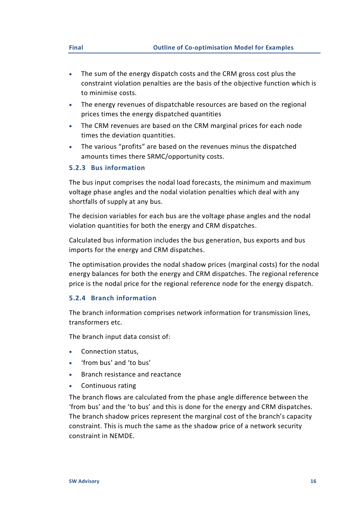- The sum of the energy dispatch costs and the CRM gross cost plus the constraint violation penalties are the basis of the objective function which is to minimise costs.
- The energy revenues of dispatchable resources are based on the regional prices times the energy dispatched quantities
- The CRM revenues are based on the CRM marginal prices for each node times the deviation quantities.
- The various "profits" are based on the revenues minus the dispatched amounts times there SRMC/opportunity costs.

## **5.2.3 Bus information**

The bus input comprises the nodal load forecasts, the minimum and maximum voltage phase angles and the nodal violation penalties which deal with any shortfalls of supply at any bus.

The decision variables for each bus are the voltage phase angles and the nodal violation quantities for both the energy and CRM dispatches.

Calculated bus information includes the bus generation, bus exports and bus imports for the energy and CRM dispatches.

The optimisation provides the nodal shadow prices (marginal costs) for the nodal energy balances for both the energy and CRM dispatches. The regional reference price is the nodal price for the regional reference node for the energy dispatch.

### **5.2.4 Branch information**

The branch information comprises network information for transmission lines, transformers etc.

The branch input data consist of:

- Connection status.
- 'from bus' and 'to bus'
- Branch resistance and reactance
- Continuous rating

The branch flows are calculated from the phase angle difference between the 'from bus' and the 'to bus' and this is done for the energy and CRM dispatches. The branch shadow prices represent the marginal cost of the branch's capacity constraint. This is much the same as the shadow price of a network security constraint in NEMDE.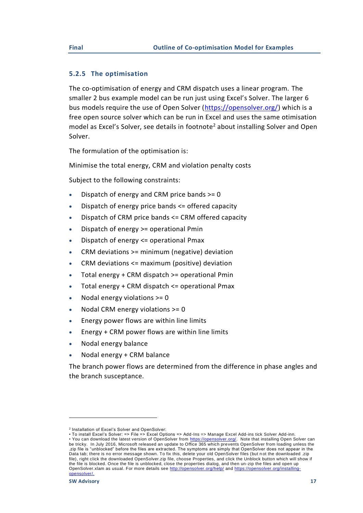## **5.2.5 The optimisation**

The co-optimisation of energy and CRM dispatch uses a linear program. The smaller 2 bus example model can be run just using Excel's Solver. The larger 6 bus models require the use of Open Solver [\(https://opensolver.org/\)](https://opensolver.org/) which is a free open source solver which can be run in Excel and uses the same otimisation model as Excel's Solver, see details in footnote<sup>2</sup> about installing Solver and Open Solver.

The formulation of the optimisation is:

Minimise the total energy, CRM and violation penalty costs

Subject to the following constraints:

- Dispatch of energy and CRM price bands  $>= 0$
- Dispatch of energy price bands <= offered capacity
- Dispatch of CRM price bands <= CRM offered capacity
- Dispatch of energy >= operational Pmin
- Dispatch of energy <= operational Pmax
- CRM deviations >= minimum (negative) deviation
- CRM deviations <= maximum (positive) deviation
- Total energy + CRM dispatch >= operational Pmin
- Total energy + CRM dispatch <= operational Pmax
- Nodal energy violations  $>= 0$
- Nodal CRM energy violations >= 0
- Energy power flows are within line limits
- Energy + CRM power flows are within line limits
- Nodal energy balance
- Nodal energy + CRM balance

The branch power flows are determined from the difference in phase angles and the branch susceptance.

<sup>2</sup> Installation of Excel's Solver and OpenSolver:

<sup>•</sup> To install Excel's Solver: => File => Excel Options => Add-Ins => Manage Excel Add-ins tick Solver Add-inn.

<sup>•</sup> You can download the latest version of OpenSolver from [https://opensolver.org/.](https://opensolver.org/) Note that installing Open Solver can be tricky. In July 2016, Microsoft released an update to Office 365 which prevents OpenSolver from loading unless the .zip file is "unblocked" before the files are extracted. The symptoms are simply that OpenSolver does not appear in the Data tab; there is no error message shown. To fix this, delete your old OpenSolver files (but n ot the downloaded .zip file), right click the downloaded OpenSolver.zip file, choose Properties, and click the Unblock button which will show if the file is blocked. Once the file is unblocked, close the properties dialog, and then un -zip the files and open up OpenSolver.xlam as usual. For more details see <http://opensolver.org/help/> and [https://opensolver.org/installing](https://opensolver.org/installing-opensolver/)[opensolver/.](https://opensolver.org/installing-opensolver/)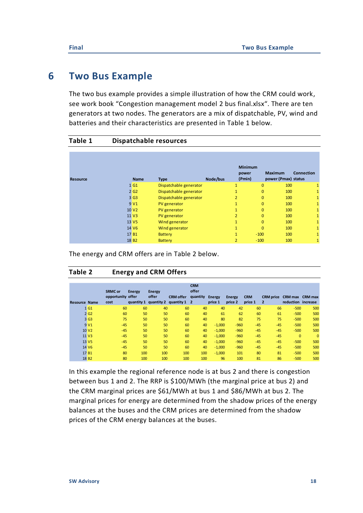## <span id="page-17-0"></span>**6 Two Bus Example**

The two bus example provides a simple illustration of how the CRM could work, see work book "Congestion management model 2 bus final.xlsx". There are ten generators at two nodes. The generators are a mix of dispatchable, PV, wind and batteries and their characteristics are presented in [Table 1](#page-17-1) below.

<span id="page-17-1"></span>

| Table 1         | <b>Dispatchable resources</b> |                        |          |                                   |              |                                       |                   |
|-----------------|-------------------------------|------------------------|----------|-----------------------------------|--------------|---------------------------------------|-------------------|
| <b>Resource</b> | <b>Name</b>                   | <b>Type</b>            | Node/bus | <b>Minimum</b><br>power<br>(Pmin) |              | <b>Maximum</b><br>power (Pmax) status | <b>Connection</b> |
|                 | 1 G1                          | Dispatchable generator |          | $\mathbf{1}$                      | $\mathbf{0}$ | 100                                   | 1                 |
|                 | 2 <sub>62</sub>               | Dispatchable generator |          | $\mathbf{1}$                      | $\mathbf{0}$ | 100                                   | 1                 |
|                 | 3 <sub>63</sub>               | Dispatchable generator |          | $\overline{2}$                    | $\mathbf{0}$ | 100                                   | $\mathbf{1}$      |
|                 | 9 <sub>VI</sub>               | PV generator           |          | $\mathbf{1}$                      | $\Omega$     | 100                                   | 1                 |
|                 | 10 V <sub>2</sub>             | PV generator           |          | 1                                 | $\Omega$     | 100                                   | 1                 |
|                 | 11 V <sub>3</sub>             | PV generator           |          | $\overline{2}$                    | $\Omega$     | 100                                   | $\mathbf{1}$      |
|                 | 13 V <sub>5</sub>             | Wind generator         |          | $\mathbf{1}$                      | $\Omega$     | 100                                   | $\mathbf{1}$      |
|                 | 14 V <sub>6</sub>             | Wind generator         |          | $\mathbf{1}$                      | $\Omega$     | 100                                   | 1                 |
|                 | 17 <sub>B1</sub>              | <b>Battery</b>         |          | 1                                 | $-100$       | 100                                   | 1                 |
|                 | 18 B <sub>2</sub>             | <b>Battery</b>         |          | $\overline{2}$                    | $-100$       | 100                                   | 1                 |

The energy and CRM offers are in [Table 2](#page-17-2) below.

## <span id="page-17-2"></span>**Table 2 Energy and CRM Offers**

|                      |                   | <b>SRMC or</b><br>opportunity offer | <b>Energy</b> | Energy<br>offer       | <b>CRM</b> offer | <b>CRM</b><br>offer<br>quantity | <b>Energy</b> | <b>Energy</b> | <b>CRM</b> | <b>CRM</b> price | CRM max CRM max    |                |
|----------------------|-------------------|-------------------------------------|---------------|-----------------------|------------------|---------------------------------|---------------|---------------|------------|------------------|--------------------|----------------|
| <b>Resource Name</b> |                   | cost                                |               | quantity 1 quantity 2 | quantity 1 2     |                                 | price 1       | price 2       | price 1    | $\overline{2}$   | reduction increase |                |
|                      | 1 <sub>G1</sub>   | 60                                  | 60            | 40                    | 60               | 40                              | 40            | 42            | 60         | 66               | $-500$             | 500            |
|                      | 2 <sub>G2</sub>   | 60                                  | 50            | 50                    | 60               | 40                              | 61            | 62            | 60         | 61               | $-500$             | 500            |
|                      | 3 <sub>63</sub>   | 75                                  | 50            | 50                    | 60               | 40                              | 80            | 82            | 75         | 75               | $-500$             | 500            |
|                      | 9 <sub>VI</sub>   | $-45$                               | 50            | 50                    | 60               | 40                              | $-1,000$      | $-960$        | $-45$      | $-45$            | $-500$             | 500            |
|                      | 10 <sub>V</sub> 2 | $-45$                               | 50            | 50                    | 60               | 40                              | $-1,000$      | $-960$        | $-45$      | $-45$            | $-500$             | 500            |
|                      | 11 V <sub>3</sub> | $-45$                               | 50            | 50                    | 60               | 40                              | $-1,000$      | $-960$        | $-45$      | $-45$            | $\mathbf{0}$       | $\overline{0}$ |
|                      | 13 V <sub>5</sub> | $-45$                               | 50            | 50                    | 60               | 40                              | $-1,000$      | $-960$        | $-45$      | $-45$            | $-500$             | 500            |
|                      | 14 V <sub>6</sub> | $-45$                               | 50            | 50                    | 60               | 40                              | $-1,000$      | $-960$        | $-45$      | $-45$            | $-500$             | 500            |
|                      | 17 B1             | 80                                  | 100           | 100                   | 100              | 100                             | $-1,000$      | 101           | 80         | 81               | $-500$             | 500            |
|                      | 18 <sub>B2</sub>  | 80                                  | 100           | 100                   | 100              | 100                             | 96            | 100           | 81         | 86               | $-500$             | 500            |

In this example the regional reference node is at bus 2 and there is congestion between bus 1 and 2. The RRP is \$100/MWh (the marginal price at bus 2) and the CRM marginal prices are \$61/MWh at bus 1 and \$86/MWh at bus 2. The marginal prices for energy are determined from the shadow prices of the energy balances at the buses and the CRM prices are determined from the shadow prices of the CRM energy balances at the buses.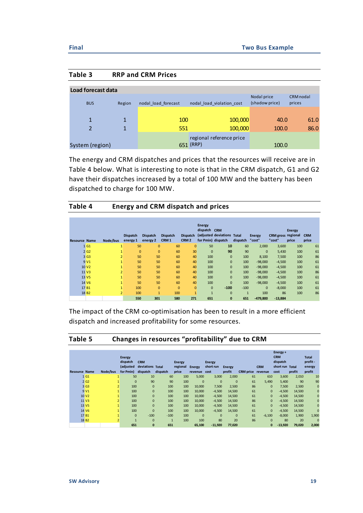#### **Table 3 RRP and CRM Prices**

| Load forecast data |              |                     |                           |                               |                     |
|--------------------|--------------|---------------------|---------------------------|-------------------------------|---------------------|
| <b>BUS</b>         | Region       | nodal load forecast | nodal load violation cost | Nodal price<br>(shadow price) | CRM nodal<br>prices |
|                    |              |                     |                           |                               |                     |
| $\overline{1}$     | 1            | 100                 | 100,000                   | 40.0                          | 61.0                |
| 2                  | $\mathbf{1}$ | 551                 | 100,000                   | 100.0                         | 86.0                |
|                    |              |                     | regional reference price  |                               |                     |
| System (region)    |              |                     | 651 (RRP)                 | 100.0                         |                     |

The energy and CRM dispatches and prices that the resources will receive are in [Table 4](#page-18-0) below. What is interesting to note is that in the CRM dispatch, G1 and G2 have their dispatches increased by a total of 100 MW and the battery has been dispatched to charge for 100 MW.

## <span id="page-18-0"></span>**Table 4 Energy and CRM dispatch and prices**

| <b>Resource Name</b> |                   | Node/bus       | <b>Dispatch</b><br>energy 1 | <b>Dispatch</b><br>energy 2 | <b>Dispatch</b><br>CRM <sub>1</sub> | <b>Dispatch</b><br>CRM <sub>2</sub> | <b>Energy</b><br>dispatch CRM | (adjusted deviations<br>for Pmin) dispatch | Total<br>dispatch | <b>Energy</b><br>"cost" | CRM gross regional<br>"cost" | <b>Energy</b><br>price | <b>CRM</b><br>price |
|----------------------|-------------------|----------------|-----------------------------|-----------------------------|-------------------------------------|-------------------------------------|-------------------------------|--------------------------------------------|-------------------|-------------------------|------------------------------|------------------------|---------------------|
| $\mathbf{1}$         | G <sub>1</sub>    | $\mathbf{1}$   | 50                          | $\mathbf{0}$                | 60                                  | $\mathbf{0}$                        | 50                            | 10                                         | 60                | 2,000                   | 3,600                        | 100                    | 61                  |
|                      | 2 <sub>62</sub>   |                | $\mathbf{0}$                | $\mathbf{0}$                | 60                                  | 30                                  | 0                             | 90                                         | 90                | $\mathbf{0}$            | 5,430                        | 100                    | 61                  |
|                      | 3 <sub>63</sub>   | $\overline{2}$ | 50                          | 50                          | 60                                  | 40                                  | 100                           | $\mathbf{0}$                               | 100               | 8,100                   | 7,500                        | 100                    | 86                  |
|                      | 9 <sub>VI</sub>   | $\mathbf{1}$   | 50                          | 50                          | 60                                  | 40                                  | 100                           | $\mathbf{0}$                               | 100               | $-98,000$               | $-4,500$                     | 100                    | 61                  |
|                      | 10 V <sub>2</sub> | $\mathbf{1}$   | 50                          | 50                          | 60                                  | 40                                  | 100                           | $\mathbf{0}$                               | 100               | $-98,000$               | $-4,500$                     | 100                    | 61                  |
|                      | 11 V3             | $\overline{2}$ | 50                          | 50                          | 60                                  | 40                                  | 100                           | $\mathbf{0}$                               | 100               | $-98,000$               | $-4,500$                     | 100                    | 86                  |
|                      | 13 V <sub>5</sub> | $\mathbf{1}$   | 50                          | 50                          | 60                                  | 40                                  | 100                           | $\mathbf{0}$                               | 100               | $-98,000$               | $-4,500$                     | 100                    | 61                  |
|                      | 14 V <sub>6</sub> | $\mathbf{1}$   | 50                          | 50                          | 60                                  | 40                                  | 100                           | $\mathbf{0}$                               | 100               | $-98,000$               | $-4,500$                     | 100                    | 61                  |
|                      | 17 <sub>B1</sub>  | $\mathbf{1}$   | 100                         | $\mathbf{0}$                | $\mathbf{0}$                        | $\overline{0}$                      | $\mathbf{0}$                  | $-100$                                     | $-100$            | $\mathbf{0}$            | $-8,000$                     | 100                    | 61                  |
|                      | 18 B <sub>2</sub> | $\overline{2}$ | 100                         | $\mathbf{1}$                | 100                                 | $\mathbf{1}$                        | $\mathbf{1}$                  | $\mathbf{0}$                               | 1                 | 100                     | 86                           | 100                    | 86                  |
|                      |                   |                | 550                         | 301                         | 580                                 | 271                                 | 651                           | $\mathbf{0}$                               | 651               | $-479,800$              | $-13,884$                    |                        |                     |

The impact of the CRM co-optimisation has been to result in a more efficient dispatch and increased profitability for some resources.

## **Table 5 Changes in resources "profitability" due to CRM**

|                      |                   |                | <b>Energy</b><br>dispatch<br>(adjusted | <b>CRM</b><br>deviations Total |              | <b>Energy</b><br>regional | Energy       | <b>Energy</b><br>short run | <b>Energy</b> |                  | <b>CRM</b>   | Energy +<br><b>CRM</b><br>dispatch<br>short run Total |        | <b>Total</b><br>profit-<br>energy |
|----------------------|-------------------|----------------|----------------------------------------|--------------------------------|--------------|---------------------------|--------------|----------------------------|---------------|------------------|--------------|-------------------------------------------------------|--------|-----------------------------------|
| <b>Resource Name</b> |                   | Node/bus       | for Pmin)                              | dispatch                       | dispatch     | price                     | revenue      | cost                       | profit        | <b>CRM</b> price | revenue      | cost                                                  | profit | profit                            |
|                      | 1 <sub>G1</sub>   |                | 50                                     | 10                             | 60           | 100                       | 5,000        | 3,000                      | 2,000         | 61               | 610          | 3,600                                                 | 2,010  | 10                                |
|                      | 2 <sub>G2</sub>   |                | $\mathbf{0}$                           | 90                             | 90           | 100                       | $\mathbf{0}$ | $\mathbf{0}$               | $\mathbf{0}$  | 61               | 5,490        | 5,400                                                 | 90     | 90                                |
|                      | 3 G <sub>3</sub>  |                | $\overline{2}$<br>100                  | $\mathbf{0}$                   | 100          | 100                       | 10,000       | 7,500                      | 2,500         | 86               | $\mathbf{0}$ | 7,500                                                 | 2,500  | $\mathbf 0$                       |
|                      | 9 V <sub>1</sub>  |                | 100                                    | $\mathbf{0}$                   | 100          | 100                       | 10,000       | $-4,500$                   | 14,500        | 61               | $\mathbf{0}$ | $-4,500$                                              | 14,500 | $\overline{0}$                    |
|                      | 10 V <sub>2</sub> |                | 100                                    | $\mathbf{0}$                   | 100          | 100                       | 10,000       | $-4,500$                   | 14,500        | 61               | $\mathbf{0}$ | $-4,500$                                              | 14,500 | $\mathbf 0$                       |
|                      | 11 V3             |                | 100                                    | $\mathbf{0}$                   | 100          | 100                       | 10,000       | $-4,500$                   | 14,500        | 86               | $\mathbf{0}$ | $-4,500$                                              | 14,500 | $\overline{0}$                    |
|                      | 13 V <sub>5</sub> |                | 100                                    | $\mathbf{0}$                   | 100          | 100                       | 10,000       | $-4,500$                   | 14,500        | 61               | $\mathbf{0}$ | $-4,500$                                              | 14,500 | $\mathbf{0}$                      |
|                      | 14 V <sub>6</sub> |                | 100                                    | $\mathbf{0}$                   | 100          | 100                       | 10,000       | $-4,500$                   | 14,500        | 61               | $\mathbf{0}$ | $-4,500$                                              | 14,500 | $\overline{0}$                    |
|                      | 17 B1             |                | $\mathbf{0}$                           | $-100$                         | $-100$       | 100                       | $\mathbf{0}$ | $\mathbf{0}$               | $\mathbf{0}$  | 61               | $-6,100$     | $-8,000$                                              | 1,900  | 1,900                             |
|                      | 18 <sub>B2</sub>  | $\overline{2}$ | $\overline{1}$                         | $\mathbf{0}$                   | $\mathbf{1}$ | 100                       | 100          | 80                         | 20            | 86               | $\mathbf{0}$ | 80                                                    | 20     | $\mathbf 0$                       |
|                      |                   |                | 651                                    | $\mathbf{0}$                   | 651          |                           | 65,100       | $-11.920$                  | 77,020        |                  | $\mathbf{0}$ | $-13,920$                                             | 79,020 | 2,000                             |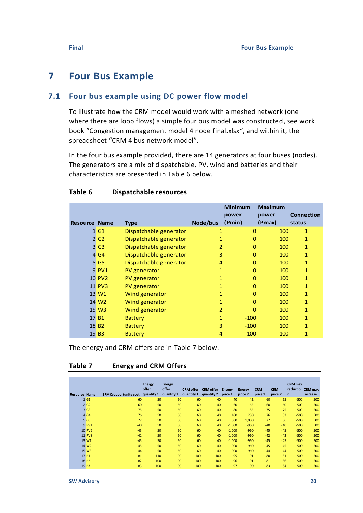## <span id="page-19-0"></span>**7 Four Bus Example**

## **7.1 Four bus example using DC power flow model**

<span id="page-19-1"></span>To illustrate how the CRM model would work with a meshed network (one where there are loop flows) a simple four bus model was constructed, see work book "Congestion management model 4 node final.xlsx", and within it, the spreadsheet "CRM 4 bus network model".

In the four bus example provided, there are 14 generators at four buses (nodes). The generators are a mix of dispatchable, PV, wind and batteries and their characteristics are presented in [Table 6](#page-19-2) below.

|                      |                   |                        |              | <b>Minimum</b> | <b>Maximum</b> |                   |
|----------------------|-------------------|------------------------|--------------|----------------|----------------|-------------------|
|                      |                   |                        |              | power          | power          | <b>Connection</b> |
| <b>Resource Name</b> |                   | <b>Type</b>            | Node/bus     | (Pmin)         | (Pmax)         | status            |
|                      | 1 <sub>G1</sub>   | Dispatchable generator | 1            | $\mathbf 0$    | 100            | 1                 |
|                      | 2 <sub>G2</sub>   | Dispatchable generator | 1            | 0              | 100            | 1                 |
|                      | 3 <sub>63</sub>   | Dispatchable generator | 2            | $\Omega$       | 100            | 1                 |
|                      | 4 G4              | Dispatchable generator | 3            | 0              | 100            | $\mathbf{1}$      |
|                      | 5 <sub>65</sub>   | Dispatchable generator | 4            | $\Omega$       | 100            | $\mathbf{1}$      |
|                      | 9 PV1             | PV generator           | $\mathbf{1}$ | 0              | 100            | $\mathbf{1}$      |
|                      | <b>10 PV2</b>     | PV generator           | 1            | $\mathbf 0$    | 100            | 1                 |
|                      | 11 PV3            | PV generator           | $\mathbf{1}$ | $\Omega$       | 100            | $\mathbf{1}$      |
|                      | 13 W1             | Wind generator         | $\mathbf{1}$ | $\mathbf 0$    | 100            | 1                 |
|                      | 14 W <sub>2</sub> | Wind generator         | $\mathbf{1}$ | 0              | 100            | 1                 |
|                      | 15 W <sub>3</sub> | Wind generator         | 2            | $\Omega$       | 100            | 1                 |
|                      | 17 B1             | <b>Battery</b>         | $\mathbf{1}$ | $-100$         | 100            | 1                 |
|                      | 18 B <sub>2</sub> | <b>Battery</b>         | 3            | $-100$         | 100            | $\mathbf{1}$      |
|                      | 19 <sub>B3</sub>  | <b>Battery</b>         | 4            | $-100$         | 100            | 1                 |

### <span id="page-19-2"></span>**Table 6 Dispatchable resources**

The energy and CRM offers are in [Table 7](#page-19-3) below.

## <span id="page-19-3"></span>**Table 7 Energy and CRM Offers**

|                      |                   |                              | <b>Energy</b> | <b>Energy</b> |                  |                  |               |               |            |            | <b>CRM</b> max |                |
|----------------------|-------------------|------------------------------|---------------|---------------|------------------|------------------|---------------|---------------|------------|------------|----------------|----------------|
|                      |                   |                              | offer         | offer         | <b>CRM</b> offer | <b>CRM</b> offer | <b>Energy</b> | <b>Energy</b> | <b>CRM</b> | <b>CRM</b> | reductio       | <b>CRM</b> max |
| <b>Resource Name</b> |                   | <b>SRMC/opportunity cost</b> | quantity 1    | quantity 2    | quantity 1       | quantity 2       | price 1       | price 2       | price 1    | price 2    | $\mathbf n$    | increase       |
|                      | 1 <sub>61</sub>   | 60                           | 50            | 50            | 60               | 40               | 40            | 42            | 60         | 65         | $-500$         | 500            |
|                      | 2 <sub>G2</sub>   | 60                           | 50            | 50            | 60               | 40               | 60            | 62            | 60         | 60         | $-500$         | 500            |
|                      | 3 <sub>G3</sub>   | 75                           | 50            | 50            | 60               | 40               | 80            | 82            | 75         | 75         | $-500$         | 500            |
|                      | 4 G4              | 76                           | 50            | 50            | 60               | 40               | 100           | 250           | 76         | 83         | $-500$         | 500            |
|                      | 5 G5              | 77                           | 50            | 50            | 60               | 40               | 300           | 1,000         | 77         | 86         | $-500$         | 500            |
|                      | 9 PV1             | $-40$                        | 50            | 50            | 60               | 40               | $-1,000$      | $-960$        | $-40$      | $-40$      | $-500$         | 500            |
|                      | <b>10 PV2</b>     | $-45$                        | 50            | 50            | 60               | 40               | $-1,000$      | $-960$        | $-45$      | $-45$      | $-500$         | 500            |
|                      | <b>11 PV3</b>     | $-42$                        | 50            | 50            | 60               | 40               | $-1,000$      | $-960$        | $-42$      | $-42$      | $-500$         | 500            |
|                      | 13 W1             | $-45$                        | 50            | 50            | 60               | 40               | $-1,000$      | $-960$        | $-45$      | $-45$      | $-500$         | 500            |
|                      | 14 W <sub>2</sub> | $-45$                        | 50            | 50            | 60               | 40               | $-1,000$      | $-960$        | $-45$      | $-45$      | $-500$         | 500            |
|                      | 15 W <sub>3</sub> | $-44$                        | 50            | 50            | 60               | 40               | $-1,000$      | $-960$        | $-44$      | $-44$      | $-500$         | 500            |
|                      | 17 B1             | 81                           | 110           | 90            | 100              | 100              | 95            | 101           | 80         | 81         | $-500$         | 500            |
|                      | 18 B <sub>2</sub> | 82                           | 100           | 100           | 100              | 100              | 96            | 101           | 81         | 86         | $-500$         | 500            |
|                      | 19 <sub>B3</sub>  | 83                           | 100           | 100           | 100              | 100              | 97            | 100           | 83         | 84         | $-500$         | 500            |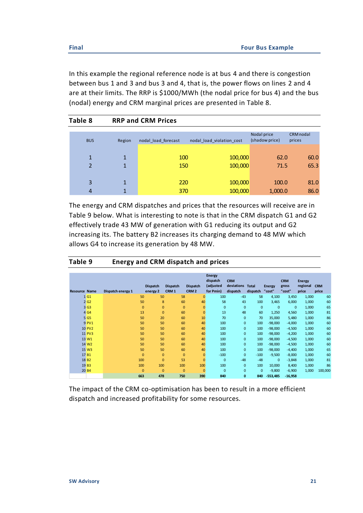In this example the regional reference node is at bus 4 and there is congestion between bus 1 and 3 and bus 3 and 4, that is, the power flows on lines 2 and 4 are at their limits. The RRP is \$1000/MWh (the nodal price for bus 4) and the bus (nodal) energy and CRM marginal prices are presented in [Table 8.](#page-20-0)

<span id="page-20-0"></span>

| Table 8 |                |                | <b>RRP and CRM Prices</b> |                           |                               |                     |
|---------|----------------|----------------|---------------------------|---------------------------|-------------------------------|---------------------|
|         | <b>BUS</b>     | Region         | nodal load forecast       | nodal load violation cost | Nodal price<br>(shadow price) | CRM nodal<br>prices |
|         |                |                |                           |                           |                               |                     |
|         | $\mathbf{1}$   | 1              | 100                       | 100,000                   | 62.0                          | 60.0                |
|         | $\overline{2}$ | $\mathbf{1}$   | 150                       | 100,000                   | 71.5                          | 65.3                |
|         |                |                |                           |                           |                               |                     |
|         | 3              | 1              | 220                       | 100,000                   | 100.0                         | 81.0                |
|         | 4              | $\overline{1}$ | 370                       | 100,000                   | 1,000.0                       | 86.0                |

The energy and CRM dispatches and prices that the resources will receive are in [Table 9](#page-20-1) below. What is interesting to note is that in the CRM dispatch G1 and G2 effectively trade 43 MW of generation with G1 reducing its output and G2 increasing its. The battery B2 increases its charging demand to 48 MW which allows G4 to increase its generation by 48 MW.

<span id="page-20-1"></span>

| Table 9 | <b>Energy and CRM dispatch and prices</b> |  |
|---------|-------------------------------------------|--|
|---------|-------------------------------------------|--|

| <b>Resource Name</b> | Dispatch energy 1 | <b>Dispatch</b><br>energy 2 | <b>Dispatch</b><br>CRM <sub>1</sub> | <b>Dispatch</b><br>CRM <sub>2</sub> | <b>Energy</b><br>dispatch<br>(adjusted<br>for Pmin) | <b>CRM</b><br>deviations<br>dispatch | <b>Total</b><br>dispatch | <b>Energy</b><br>"cost" | <b>CRM</b><br>gross<br>"cost" | <b>Energy</b><br>regional<br>price | <b>CRM</b><br>price |
|----------------------|-------------------|-----------------------------|-------------------------------------|-------------------------------------|-----------------------------------------------------|--------------------------------------|--------------------------|-------------------------|-------------------------------|------------------------------------|---------------------|
| 1 G1                 | 50                | 50                          | 58                                  | $\mathbf{0}$                        | 100                                                 | $-43$                                | 58                       | 4,100                   | 3,450                         | 1,000                              | 60                  |
| 2 <sub>G2</sub>      | 50                | 8                           | 60                                  | 40                                  | 58                                                  | 43                                   | 100                      | 3,465                   | 6,000                         | 1,000                              | 60                  |
| 3 <sub>63</sub>      | $\mathbf{0}$      | $\mathbf{0}$                | $\mathbf{0}$                        | $\overline{0}$                      | $\mathbf 0$                                         | $\overline{0}$                       | $\overline{0}$           | $\mathbf{0}$            | $\mathbf{0}$                  | 1,000                              | 65                  |
| 4 G4                 | 13                | $\mathbf{0}$                | 60                                  | $\overline{0}$                      | 13                                                  | 48                                   | 60                       | 1,250                   | 4,560                         | 1,000                              | 81                  |
| 5 G5                 | 50                | 20                          | 60                                  | 10                                  | 70                                                  | $\mathbf{0}$                         | 70                       | 35,000                  | 5,480                         | 1,000                              | 86                  |
| 9 PV1                | 50                | 50                          | 60                                  | 40                                  | 100                                                 | $\mathbf{0}$                         | 100                      | $-98,000$               | $-4,000$                      | 1,000                              | 60                  |
| <b>10 PV2</b>        | 50                | 50                          | 60                                  | 40                                  | 100                                                 | $\mathbf{0}$                         | 100                      | $-98,000$               | $-4,500$                      | 1,000                              | 60                  |
| <b>11 PV3</b>        | 50                | 50                          | 60                                  | 40                                  | 100                                                 | $\mathbf{0}$                         | 100                      | $-98,000$               | $-4,200$                      | 1,000                              | 60                  |
| 13 W1                | 50                | 50                          | 60                                  | 40                                  | 100                                                 | $\mathbf{0}$                         | 100                      | $-98,000$               | $-4,500$                      | 1,000                              | 60                  |
| 14 W <sub>2</sub>    | 50                | 50                          | 60                                  | 40                                  | 100                                                 | $\mathbf{0}$                         | 100                      | $-98,000$               | $-4,500$                      | 1,000                              | 60                  |
| 15 W <sub>3</sub>    | 50                | 50                          | 60                                  | 40                                  | 100                                                 | $\mathbf{0}$                         | 100                      | $-98,000$               | $-4,400$                      | 1,000                              | 65                  |
| 17 <sub>B1</sub>     | $\mathbf{0}$      | $\mathbf{0}$                | $\mathbf{0}$                        | $\overline{0}$                      | $-100$                                              | $\overline{0}$                       | $-100$                   | $-9,500$                | $-8,000$                      | 1,000                              | 60                  |
| 18 B <sub>2</sub>    | 100               | $\overline{0}$              | 53                                  | $\overline{0}$                      | $\mathbf{0}$                                        | $-48$                                | $-48$                    | $\mathbf{0}$            | $-3,848$                      | 1,000                              | 81                  |
| 19 <sub>B3</sub>     | 100               | 100                         | 100                                 | 100                                 | 100                                                 | $\mathbf{0}$                         | 100                      | 10,000                  | 8,400                         | 1,000                              | 86                  |
| 20 B4                | $\Omega$          | $\Omega$                    | $\Omega$                            | $\Omega$                            | $\mathbf{0}$                                        | $\mathbf{0}$                         | $\overline{0}$           | $-9,800$                | $-6,900$                      | 1,000                              | 100,000             |
|                      | 663               | 478                         | 750                                 | 390                                 | 840                                                 | $\bf{0}$                             | 840                      | $-553,485$              | $-16,958$                     |                                    |                     |

The impact of the CRM co-optimisation has been to result in a more efficient dispatch and increased profitability for some resources.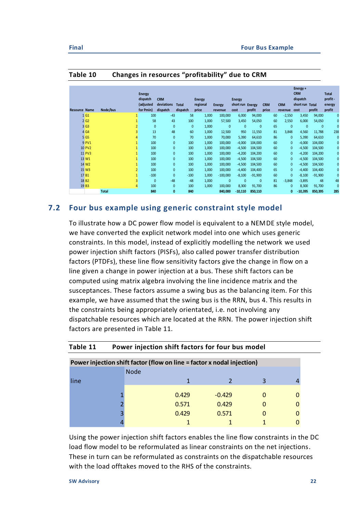| Table 10<br>Changes in resources "profitability" due to CRM |                      |          |  |                                              |                                      |                          |                             |                          |                                           |          |                     |    |                       |                                                               |          |                                             |
|-------------------------------------------------------------|----------------------|----------|--|----------------------------------------------|--------------------------------------|--------------------------|-----------------------------|--------------------------|-------------------------------------------|----------|---------------------|----|-----------------------|---------------------------------------------------------------|----------|---------------------------------------------|
|                                                             | <b>Resource Name</b> | Node/bus |  | Energy<br>dispatch<br>(adjusted<br>for Pmin) | <b>CRM</b><br>deviations<br>dispatch | <b>Total</b><br>dispatch | Energy<br>regional<br>price | <b>Energy</b><br>revenue | <b>Energy</b><br>short run Energy<br>cost | profit   | <b>CRM</b><br>price |    | <b>CRM</b><br>revenue | Energy +<br><b>CRM</b><br>dispatch<br>short run Total<br>cost | profit   | <b>Total</b><br>profit-<br>energy<br>profit |
|                                                             | 1 <sub>G1</sub>      |          |  | 100                                          | $-43$                                | 58                       | 1,000                       | 100,000                  | 6,000                                     | 94,000   |                     | 60 | $-2,550$              | 3,450                                                         | 94,000   | $\mathbf{0}$                                |
|                                                             | 2 <sub>G2</sub>      |          |  | 58                                           | 43                                   | 100                      | 1.000                       | 57,500                   | 3,450                                     | 54,050   |                     | 60 | 2.550                 | 6,000                                                         | 54,050   | $\mathbf{0}$                                |
|                                                             | 3 <sub>G3</sub>      |          |  | $\mathbf 0$                                  | $\mathbf{0}$                         | $\mathbf{0}$             | 1,000                       | $\mathbf{0}$             | $\mathbf{0}$                              | $\Omega$ |                     | 65 | $\Omega$              | $\Omega$                                                      | $\Omega$ | $\mathbf{0}$                                |
|                                                             | 4 G4                 |          |  | 13                                           | 48                                   | 60                       | 1,000                       | 12,500                   | 950                                       | 11.550   |                     | 81 | 3,848                 | 4,560                                                         | 11.788   | 238                                         |

 G5 4 70 0 70 1,000 70,000 5,390 64,610 86 0 5,390 64,610 0 PV1 1 100 0 100 1,000 100,000 -4,000 104,000 60 0 -4,000 104,000 0 PV2 1 100 0 100 1,000 100,000 -4,500 104,500 60 0 -4,500 104,500 0 PV3 1 100 0 100 1,000 100,000 -4,200 104,200 60 0 -4,200 104,200 0 W1 1 100 0 100 1,000 100,000 -4,500 104,500 60 0 -4,500 104,500 0 W2 1 100 0 100 1,000 100,000 -4,500 104,500 60 0 -4,500 104,500 0 W3 2 100 0 100 1,000 100,000 -4,400 104,400 65 0 -4,400 104,400 0 B1 1 -100 0 -100 1,000 -100,000 -8,100 -91,900 60 0 -8,100 -91,900 0 B2 3 0 -48 -48 1,000 0 0 0 81 -3,848 -3,895 48 48 B3 4 100 0 100 1,000 100,000 8,300 91,700 86 0 8,300 91,700 0 **Total 840 0 840 840,000 -10,110 850,110 0 -10,395 850,395 285**

### **Table 10 Changes in resources "profitability" due to CRM**

## <span id="page-21-0"></span>**7.2 Four bus example using generic constraint style model**

To illustrate how a DC power flow model is equivalent to a NEMDE style model, we have converted the explicit network model into one which uses generic constraints. In this model, instead of explicitly modelling the network we used power injection shift factors (PISFs), also called power transfer distribution factors (PTDFs), these line flow sensitivity factors give the change in flow on a line given a change in power injection at a bus. These shift factors can be computed using matrix algebra involving the line incidence matrix and the susceptances. These factors assume a swing bus as the balancing item. For this example, we have assumed that the swing bus is the RRN, bus 4. This results in the constraints being appropriately orientated, i.e. not involving any dispatchable resources which are located at the RRN. The power injection shift factors are presented in [Table 11.](#page-21-1)

| Power injection shift factor (flow on line = factor x nodal injection) |             |          |  |  |  |  |  |
|------------------------------------------------------------------------|-------------|----------|--|--|--|--|--|
|                                                                        | <b>Node</b> |          |  |  |  |  |  |
| line                                                                   |             |          |  |  |  |  |  |
|                                                                        |             |          |  |  |  |  |  |
|                                                                        | 0.429       | $-0.429$ |  |  |  |  |  |
|                                                                        | 0.571       | 0.429    |  |  |  |  |  |
|                                                                        | 0.429       | 0.571    |  |  |  |  |  |
|                                                                        |             |          |  |  |  |  |  |

#### <span id="page-21-1"></span>**Table 11 Power injection shift factors for four bus model**

Using the power injection shift factors enables the line flow constraints in the DC load flow model to be reformulated as linear constraints on the net injections. These in turn can be reformulated as constraints on the dispatchable resources with the load offtakes moved to the RHS of the constraints.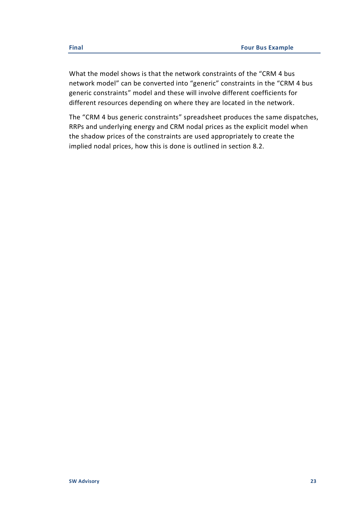What the model shows is that the network constraints of the "CRM 4 bus network model" can be converted into "generic" constraints in the "CRM 4 bus generic constraints" model and these will involve different coefficients for different resources depending on where they are located in the network.

The "CRM 4 bus generic constraints" spreadsheet produces the same dispatches, RRPs and underlying energy and CRM nodal prices as the explicit model when the shadow prices of the constraints are used appropriately to create the implied nodal prices, how this is done is outlined in section [8.2.](#page-23-2)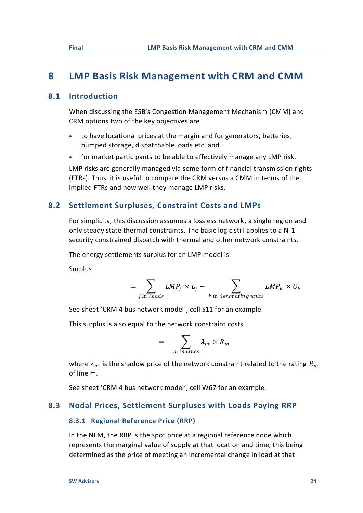## <span id="page-23-0"></span>**8 LMP Basis Risk Management with CRM and CMM**

## **8.1 Introduction**

<span id="page-23-1"></span>When discussing the ESB's Congestion Management Mechanism (CMM) and CRM options two of the key objectives are

- to have locational prices at the margin and for generators, batteries, pumped storage, dispatchable loads etc. and
- for market participants to be able to effectively manage any LMP risk.

LMP risks are generally managed via some form of financial transmission rights (FTRs). Thus, it is useful to compare the CRM versus a CMM in terms of the implied FTRs and how well they manage LMP risks.

## <span id="page-23-2"></span>**8.2 Settlement Surpluses, Constraint Costs and LMPs**

For simplicity, this discussion assumes a lossless network, a single region and only steady state thermal constraints. The basic logic still applies to a N-1 security constrained dispatch with thermal and other network constraints.

The energy settlements surplus for an LMP model is

Surplus

$$
= \sum_{j \text{ in loads}} LMP_j \times L_j - \sum_{k \text{ in Generating units}} LMP_k \times G_k
$$

See sheet 'CRM 4 bus network model', cell S11 for an example.

This surplus is also equal to the network constraint costs

$$
= -\sum_{m \text{ in Lines}} \lambda_m \times R_m
$$

where  $\lambda_m$  is the shadow price of the network constraint related to the rating  $R_m$ of line m.

<span id="page-23-3"></span>See sheet 'CRM 4 bus network model', cell W67 for an example.

## **8.3 Nodal Prices, Settlement Surpluses with Loads Paying RRP**

### **8.3.1 Regional Reference Price (RRP)**

In the NEM, the RRP is the spot price at a regional reference node which represents the marginal value of supply at that location and time, this being determined as the price of meeting an incremental change in load at that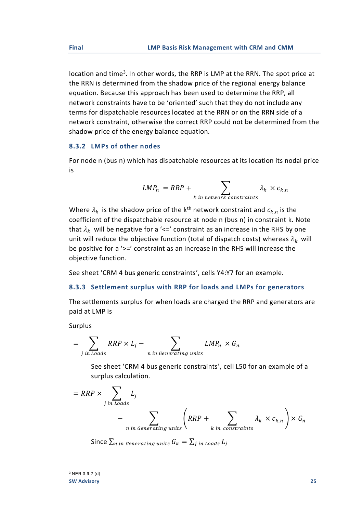location and time<sup>3</sup>. In other words, the RRP is LMP at the RRN. The spot price at the RRN is determined from the shadow price of the regional energy balance equation. Because this approach has been used to determine the RRP, all network constraints have to be 'oriented' such that they do not include any terms for dispatchable resources located at the RRN or on the RRN side of a network constraint, otherwise the correct RRP could not be determined from the shadow price of the energy balance equation.

## **8.3.2 LMPs of other nodes**

For node n (bus n) which has dispatchable resources at its location its nodal price is

$$
LMP_n = RRP + \sum_{k \text{ in network constraints}} \lambda_k \times c_{k,n}
$$

Where  $\lambda_k$  is the shadow price of the k<sup>th</sup> network constraint and  $c_{k,n}$  is the coefficient of the dispatchable resource at node n (bus n) in constraint k. Note that  $\lambda_k$  will be negative for a '<=' constraint as an increase in the RHS by one unit will reduce the objective function (total of dispatch costs) whereas  $\lambda_k$  will be positive for a '>=' constraint as an increase in the RHS will increase the objective function.

See sheet 'CRM 4 bus generic constraints', cells Y4:Y7 for an example.

#### **8.3.3 Settlement surplus with RRP for loads and LMPs for generators**

The settlements surplus for when loads are charged the RRP and generators are paid at LMP is

Surplus

$$
= \sum_{j \text{ in loads}} RRP \times L_j - \sum_{n \text{ in Generating units}} LMP_n \times G_n
$$

See sheet 'CRM 4 bus generic constraints', cell L50 for an example of a surplus calculation.

$$
= RRP \times \sum_{j \text{ in Loads}} L_j
$$
  
- 
$$
\sum_{n \text{ in Generating units}} \left( RRP + \sum_{k \text{ in constraints}} \lambda_k \times c_{k,n} \right) \times G_n
$$

Since  $\sum_n$  in Generating units  $G_k = \sum_j$  in Loads  $L_j$ 

**SW Advisory 25** <sup>3</sup> NER 3.9.2 (d)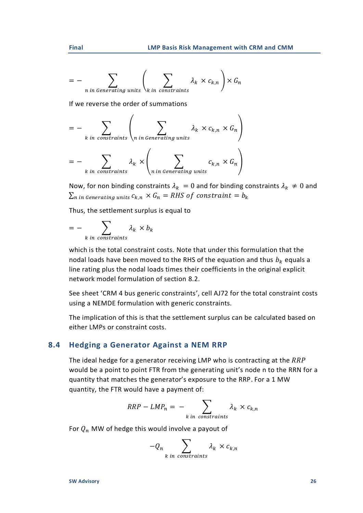$$
= - \sum_{n \text{ in Generating units}} \left( \sum_{k \text{ in constraints}} \lambda_k \times c_{k,n} \right) \times G_n
$$

If we reverse the order of summations

$$
= - \sum_{k \text{ in constraints}} \left( \sum_{n \text{ in Generating units}} \lambda_k \times c_{k,n} \times G_n \right)
$$

$$
= - \sum_{k \text{ in constraints}} \lambda_k \times \left( \sum_{n \text{ in Generating units}} c_{k,n} \times G_n \right)
$$

Now, for non binding constraints  $\lambda_k = 0$  and for binding constraints  $\lambda_k \neq 0$  and  $\sum_{n}$  in Generating units  $c_{k,n} \times G_n = RHS$  of constraint =  $b_k$ 

Thus, the settlement surplus is equal to

$$
= - \sum_{k \text{ in constraints}} \lambda_k \times b_k
$$

which is the total constraint costs. Note that under this formulation that the nodal loads have been moved to the RHS of the equation and thus  $b_k$  equals a line rating plus the nodal loads times their coefficients in the original explicit network model formulation of section [8.2.](#page-23-2)

See sheet 'CRM 4 bus generic constraints', cell AJ72 for the total constraint costs using a NEMDE formulation with generic constraints.

The implication of this is that the settlement surplus can be calculated based on either LMPs or constraint costs.

## <span id="page-25-0"></span>**8.4 Hedging a Generator Against a NEM RRP**

The ideal hedge for a generator receiving LMP who is contracting at the  $RRP$ would be a point to point FTR from the generating unit's node n to the RRN for a quantity that matches the generator's exposure to the RRP. For a 1 MW quantity, the FTR would have a payment of:

$$
RRP - LMP_n = - \sum_{k \text{ in constraints}} \lambda_k \times c_{k,n}
$$

For  $Q_n$  MW of hedge this would involve a payout of

$$
-Q_n \sum_{k \text{ in constraints}} \lambda_k \times c_{k,n}
$$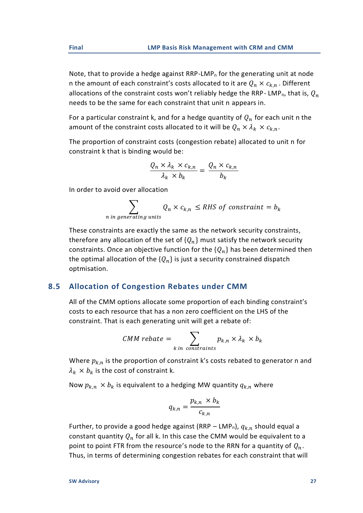Note, that to provide a hedge against  $RRP-LMP<sub>n</sub>$  for the generating unit at node n the amount of each constraint's costs allocated to it are  $Q_n \times c_{k,n}$ . Different allocations of the constraint costs won't reliably hedge the RRP-LMP<sub>n</sub>, that is,  $Q_n$ needs to be the same for each constraint that unit n appears in.

For a particular constraint k, and for a hedge quantity of  $Q_n$  for each unit n the amount of the constraint costs allocated to it will be  $Q_n \times \lambda_k \times c_{k,n}$ .

The proportion of constraint costs (congestion rebate) allocated to unit n for constraint k that is binding would be:

$$
\frac{Q_n \times \lambda_k \times c_{k,n}}{\lambda_k \times b_k} = \frac{Q_n \times c_{k,n}}{b_k}
$$

In order to avoid over allocation

$$
\sum_{n \text{ in generating units}} Q_n \times c_{k,n} \le RHS \text{ of constraint} = b_k
$$

These constraints are exactly the same as the network security constraints, therefore any allocation of the set of  ${Q_n}$  must satisfy the network security constraints. Once an objective function for the  ${Q_n}$  has been determined then the optimal allocation of the  ${Q_n}$  is just a security constrained dispatch optmisation.

## <span id="page-26-0"></span>**8.5 Allocation of Congestion Rebates under CMM**

All of the CMM options allocate some proportion of each binding constraint's costs to each resource that has a non zero coefficient on the LHS of the constraint. That is each generating unit will get a rebate of:

$$
CMM \text{ rebate} = \sum_{k \text{ in constraints}} p_{k,n} \times \lambda_k \times b_k
$$

Where  $p_{k,n}$  is the proportion of constraint k's costs rebated to generator n and  $\lambda_k \times b_k$  is the cost of constraint k.

Now  $p_{k,n} \times b_k$  is equivalent to a hedging MW quantity  $q_{k,n}$  where

$$
q_{k,n} = \frac{p_{k,n} \times b_k}{c_{k,n}}
$$

Further, to provide a good hedge against (RRP – LMP<sub>n</sub>),  $q_{k,n}$  should equal a constant quantity  $Q_n$  for all k. In this case the CMM would be equivalent to a point to point FTR from the resource's node to the RRN for a quantity of  $Q_n$ . Thus, in terms of determining congestion rebates for each constraint that will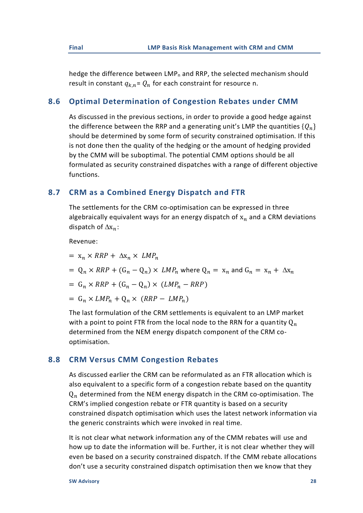hedge the difference between  $LMP_n$  and RRP, the selected mechanism should result in constant  $q_{k,n} = Q_n$  for each constraint for resource n.

## <span id="page-27-0"></span>**8.6 Optimal Determination of Congestion Rebates under CMM**

As discussed in the previous sections, in order to provide a good hedge against the difference between the RRP and a generating unit's LMP the quantities  $\{Q_n\}$ should be determined by some form of security constrained optimisation. If this is not done then the quality of the hedging or the amount of hedging provided by the CMM will be suboptimal. The potential CMM options should be all formulated as security constrained dispatches with a range of different objective functions.

## <span id="page-27-1"></span>**8.7 CRM as a Combined Energy Dispatch and FTR**

The settlements for the CRM co-optimisation can be expressed in three algebraically equivalent ways for an energy dispatch of  $x_n$  and a CRM deviations dispatch of  $\Delta x_n$ :

Revenue:

- $= x_n \times RRP + \Delta x_n \times LMP_n$
- $= Q_n \times RRP + (G_n Q_n) \times LMP_n$  where  $Q_n = x_n$  and  $G_n = x_n + \Delta x_n$

$$
= G_n \times RRP + (G_n - Q_n) \times (LMP_n - RRP)
$$

 $= G_n \times LMP_n + Q_n \times (RRP - LMP_n)$ 

The last formulation of the CRM settlements is equivalent to an LMP market with a point to point FTR from the local node to the RRN for a quantity  $Q_n$ determined from the NEM energy dispatch component of the CRM cooptimisation.

## <span id="page-27-2"></span>**8.8 CRM Versus CMM Congestion Rebates**

As discussed earlier the CRM can be reformulated as an FTR allocation which is also equivalent to a specific form of a congestion rebate based on the quantity  $Q_n$  determined from the NEM energy dispatch in the CRM co-optimisation. The CRM's implied congestion rebate or FTR quantity is based on a security constrained dispatch optimisation which uses the latest network information via the generic constraints which were invoked in real time.

It is not clear what network information any of the CMM rebates will use and how up to date the information will be. Further, it is not clear whether they will even be based on a security constrained dispatch. If the CMM rebate allocations don't use a security constrained dispatch optimisation then we know that they